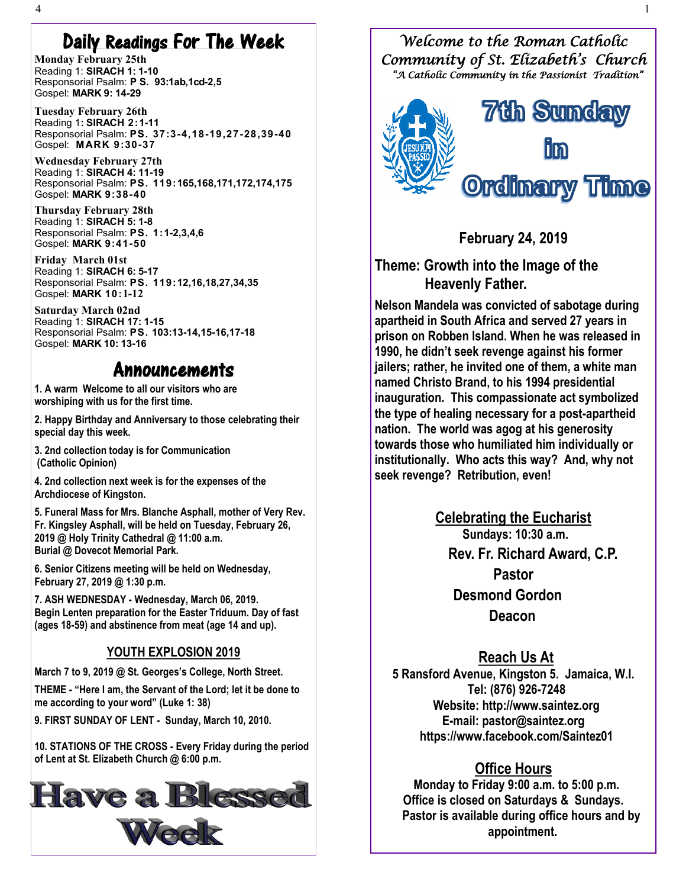## Daily Readings For The Week

**Monday February 25th**  Reading 1: **SIRACH 1: 1-10** Responsorial Psalm: **P S. 93:1ab,1cd-2,5** Gospel: **MARK 9: 14-29**

**Tuesday February 26th** Reading 1**: SIRACH [2:1](http://www.usccb.org/bible/1corinthians/12:12)-11** Responsorial Psalm: **[PS. 37:3](http://www.usccb.org/bible/psalms/10:1)-4,18-19,27-28,39-40** Gospel: **[MARK 9:30](http://www.usccb.org/bible/luke/7:11)-37**

**[W](http://www.usccb.org/bible/luke/7:11)ednesday February 27th** Reading 1: **SIRACH 4: 11-19** Responsorial Psalm: **[PS. 119:1](http://www.usccb.org/bible/psalms/10:1)65,168,171,172,174,175** Gospel: **MARK [9:38](http://www.usccb.org/bible/luke/7:11)-40**

**Thursday February 28th** Reading 1: **SIRACH 5: 1-8** Responsorial Psalm: **[PS. 1:1](http://www.usccb.org/bible/psalms/10:1)-2,3,4,6** Gospel: **MARK [9:41](http://www.usccb.org/bible/luke/7:11)-50**

**[F](http://www.usccb.org/bible/luke/7:11)riday March 01st** Reading 1: **SIRACH 6: 5-17** Responsorial Psalm: **[PS. 119:1](http://www.usccb.org/bible/psalms/10:1)2,16,18,27,34,35** Gospel: **MARK [10:](http://www.usccb.org/bible/luke/7:11)1-12**

**[S](http://www.usccb.org/bible/luke/7:11)aturday March 02nd** Reading 1: **SIRACH 17: 1-15** Responsorial Psalm: **[PS.](http://www.usccb.org/bible/psalms/56:10) 103:13-14,15-16,17-18** Gospel: **MARK 10: 13-16**

### Announcements

**1. A warm Welcome to all our visitors who are worshiping with us for the first time.**

**2. Happy Birthday and Anniversary to those celebrating their special day this week.**

**3. 2nd collection today is for Communication (Catholic Opinion)**

**4. 2nd collection next week is for the expenses of the Archdiocese of Kingston.**

**5. Funeral Mass for Mrs. Blanche Asphall, mother of Very Rev. Fr. Kingsley Asphall, will be held on Tuesday, February 26, 2019 @ Holy Trinity Cathedral @ 11:00 a.m. Burial @ Dovecot Memorial Park.**

**6. Senior Citizens meeting will be held on Wednesday, February 27, 2019 @ 1:30 p.m.**

**7. ASH WEDNESDAY - Wednesday, March 06, 2019. Begin Lenten preparation for the Easter Triduum. Day of fast (ages 18-59) and abstinence from meat (age 14 and up).**

#### **YOUTH EXPLOSION 2019**

**March 7 to 9, 2019 @ St. Georges's College, North Street.**

**THEME - "Here I am, the Servant of the Lord; let it be done to me according to your word" (Luke 1: 38)**

**9. FIRST SUNDAY OF LENT - Sunday, March 10, 2010.**

**10. STATIONS OF THE CROSS - Every Friday during the period of Lent at St. Elizabeth Church @ 6:00 p.m.**



*Welcome to the Roman Catholic Community of St. Elizabeth's Church "A Catholic Community in the Passionist Tradition"* 



**February 24, 2019**

**Theme: Growth into the Image of the Heavenly Father.**

**Nelson Mandela was convicted of sabotage during apartheid in South Africa and served 27 years in prison on Robben Island. When he was released in 1990, he didn't seek revenge against his former jailers; rather, he invited one of them, a white man named Christo Brand, to his 1994 presidential inauguration. This compassionate act symbolized the type of healing necessary for a post-apartheid nation. The world was agog at his generosity towards those who humiliated him individually or institutionally. Who acts this way? And, why not seek revenge? Retribution, even!**

> **Celebrating the Eucharist Sundays: 10:30 a.m. Rev. Fr. Richard Award, C.P. Pastor Desmond Gordon Deacon**

#### **Reach Us At**

**5 Ransford Avenue, Kingston 5. Jamaica, W.I. Tel: (876) 926-7248 Website: http://www.saintez.org E-mail: pastor@saintez.org <https://www.facebook.com/Saintez01>**

#### **Office Hours**

 **Monday to Friday 9:00 a.m. to 5:00 p.m. Office is closed on Saturdays & Sundays. Pastor is available during office hours and by appointment.**